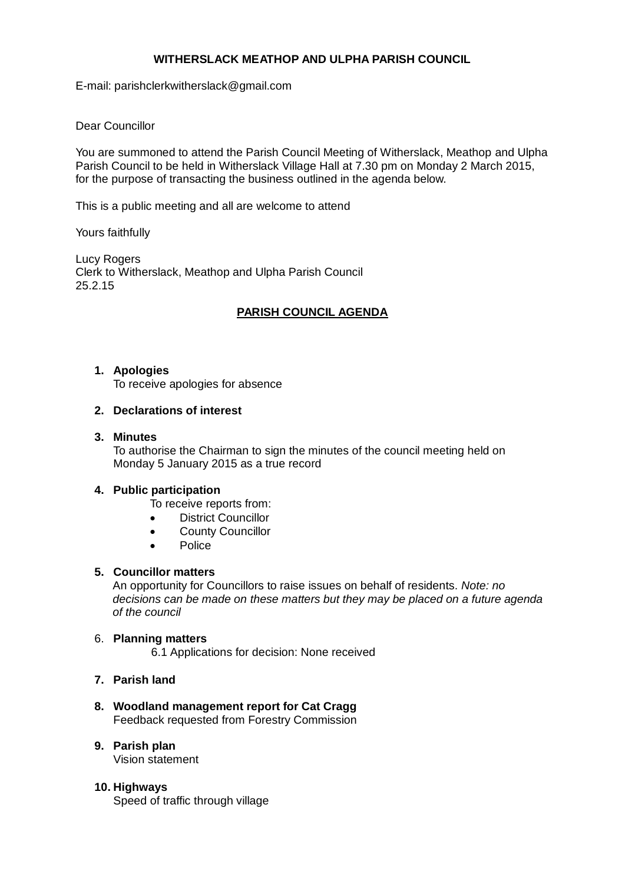# **WITHERSLACK MEATHOP AND ULPHA PARISH COUNCIL**

E-mail: parishclerkwitherslack@gmail.com

# Dear Councillor

You are summoned to attend the Parish Council Meeting of Witherslack, Meathop and Ulpha Parish Council to be held in Witherslack Village Hall at 7.30 pm on Monday 2 March 2015, for the purpose of transacting the business outlined in the agenda below.

This is a public meeting and all are welcome to attend

Yours faithfully

Lucy Rogers Clerk to Witherslack, Meathop and Ulpha Parish Council 25.2.15

# **PARISH COUNCIL AGENDA**

### **1. Apologies**

To receive apologies for absence

### **2. Declarations of interest**

### **3. Minutes**

To authorise the Chairman to sign the minutes of the council meeting held on Monday 5 January 2015 as a true record

### **4. Public participation**

To receive reports from:

- District Councillor
- County Councillor
- Police

# **5. Councillor matters**

An opportunity for Councillors to raise issues on behalf of residents. *Note: no decisions can be made on these matters but they may be placed on a future agenda of the council*

### 6. **Planning matters**

6.1 Applications for decision: None received

### **7. Parish land**

#### **8. Woodland management report for Cat Cragg** Feedback requested from Forestry Commission

**9. Parish plan**

Vision statement

**10. Highways** Speed of traffic through village